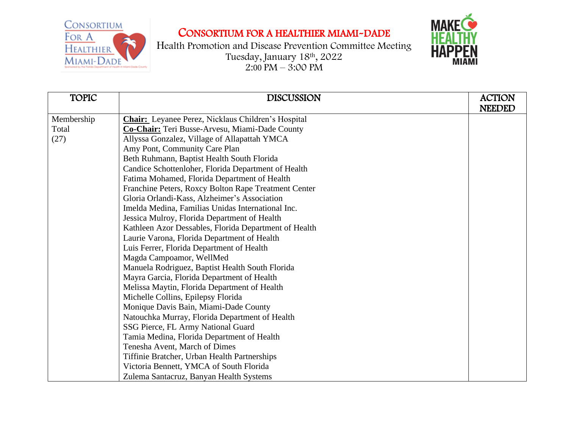## CONSORTIUM FOR A HEALTHIER MIAMI-DADE



| <b>TOPIC</b> | <b>DISCUSSION</b>                                         | <b>ACTION</b><br><b>NEEDED</b> |
|--------------|-----------------------------------------------------------|--------------------------------|
| Membership   | <b>Chair:</b> Leyanee Perez, Nicklaus Children's Hospital |                                |
| Total        | Co-Chair: Teri Busse-Arvesu, Miami-Dade County            |                                |
| (27)         | Allyssa Gonzalez, Village of Allapattah YMCA              |                                |
|              |                                                           |                                |
|              | Amy Pont, Community Care Plan                             |                                |
|              | Beth Ruhmann, Baptist Health South Florida                |                                |
|              | Candice Schottenloher, Florida Department of Health       |                                |
|              | Fatima Mohamed, Florida Department of Health              |                                |
|              | Franchine Peters, Roxcy Bolton Rape Treatment Center      |                                |
|              | Gloria Orlandi-Kass, Alzheimer's Association              |                                |
|              | Imelda Medina, Familias Unidas International Inc.         |                                |
|              | Jessica Mulroy, Florida Department of Health              |                                |
|              | Kathleen Azor Dessables, Florida Department of Health     |                                |
|              | Laurie Varona, Florida Department of Health               |                                |
|              | Luis Ferrer, Florida Department of Health                 |                                |
|              | Magda Campoamor, WellMed                                  |                                |
|              | Manuela Rodriguez, Baptist Health South Florida           |                                |
|              | Mayra Garcia, Florida Department of Health                |                                |
|              | Melissa Maytin, Florida Department of Health              |                                |
|              | Michelle Collins, Epilepsy Florida                        |                                |
|              | Monique Davis Bain, Miami-Dade County                     |                                |
|              | Natouchka Murray, Florida Department of Health            |                                |
|              | SSG Pierce, FL Army National Guard                        |                                |
|              | Tamia Medina, Florida Department of Health                |                                |
|              | Tenesha Avent, March of Dimes                             |                                |
|              | Tiffinie Bratcher, Urban Health Partnerships              |                                |
|              | Victoria Bennett, YMCA of South Florida                   |                                |
|              | Zulema Santacruz, Banyan Health Systems                   |                                |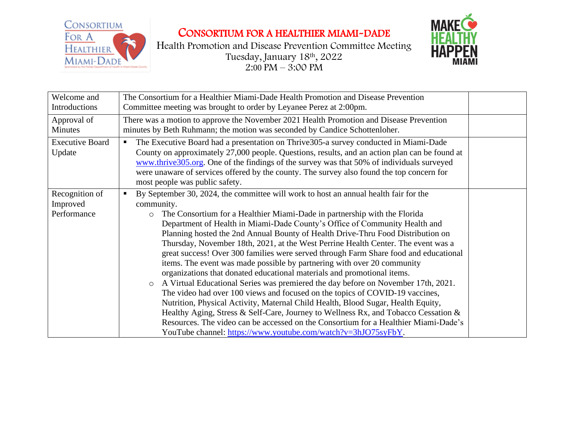



| Welcome and<br>Introductions              | The Consortium for a Healthier Miami-Dade Health Promotion and Disease Prevention<br>Committee meeting was brought to order by Leyanee Perez at 2:00pm.                                                                                                                                                                                                                                                                                                                                                                                                                                                                                                                                                                                                                                                                                                                                                                                                                                                                                                                                                                                                                                                               |  |
|-------------------------------------------|-----------------------------------------------------------------------------------------------------------------------------------------------------------------------------------------------------------------------------------------------------------------------------------------------------------------------------------------------------------------------------------------------------------------------------------------------------------------------------------------------------------------------------------------------------------------------------------------------------------------------------------------------------------------------------------------------------------------------------------------------------------------------------------------------------------------------------------------------------------------------------------------------------------------------------------------------------------------------------------------------------------------------------------------------------------------------------------------------------------------------------------------------------------------------------------------------------------------------|--|
| Approval of<br><b>Minutes</b>             | There was a motion to approve the November 2021 Health Promotion and Disease Prevention<br>minutes by Beth Ruhmann; the motion was seconded by Candice Schottenloher.                                                                                                                                                                                                                                                                                                                                                                                                                                                                                                                                                                                                                                                                                                                                                                                                                                                                                                                                                                                                                                                 |  |
| <b>Executive Board</b><br>Update          | The Executive Board had a presentation on Thrive 305-a survey conducted in Miami-Dade<br>п<br>County on approximately 27,000 people. Questions, results, and an action plan can be found at<br>www.thrive305.org. One of the findings of the survey was that 50% of individuals surveyed<br>were unaware of services offered by the county. The survey also found the top concern for<br>most people was public safety.                                                                                                                                                                                                                                                                                                                                                                                                                                                                                                                                                                                                                                                                                                                                                                                               |  |
| Recognition of<br>Improved<br>Performance | By September 30, 2024, the committee will work to host an annual health fair for the<br>п<br>community.<br>The Consortium for a Healthier Miami-Dade in partnership with the Florida<br>$\circ$<br>Department of Health in Miami-Dade County's Office of Community Health and<br>Planning hosted the 2nd Annual Bounty of Health Drive-Thru Food Distribution on<br>Thursday, November 18th, 2021, at the West Perrine Health Center. The event was a<br>great success! Over 300 families were served through Farm Share food and educational<br>items. The event was made possible by partnering with over 20 community<br>organizations that donated educational materials and promotional items.<br>A Virtual Educational Series was premiered the day before on November 17th, 2021.<br>$\circ$<br>The video had over 100 views and focused on the topics of COVID-19 vaccines,<br>Nutrition, Physical Activity, Maternal Child Health, Blood Sugar, Health Equity,<br>Healthy Aging, Stress & Self-Care, Journey to Wellness Rx, and Tobacco Cessation &<br>Resources. The video can be accessed on the Consortium for a Healthier Miami-Dade's<br>YouTube channel: https://www.youtube.com/watch?v=3hJO75syFbY. |  |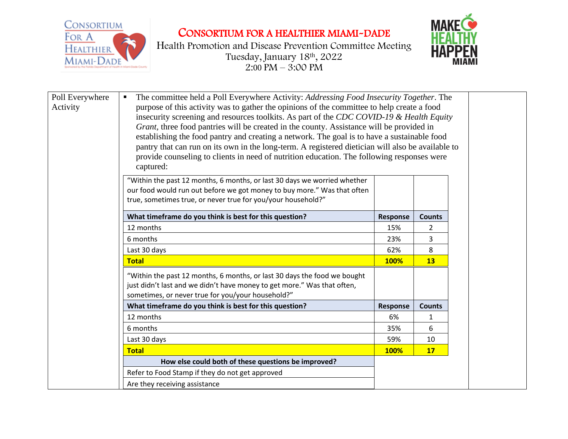



| Poll Everywhere<br>Activity | The committee held a Poll Everywhere Activity: Addressing Food Insecurity Together. The<br>п<br>purpose of this activity was to gather the opinions of the committee to help create a food<br>insecurity screening and resources toolkits. As part of the CDC COVID-19 & Health Equity<br>Grant, three food pantries will be created in the county. Assistance will be provided in<br>establishing the food pantry and creating a network. The goal is to have a sustainable food<br>pantry that can run on its own in the long-term. A registered dietician will also be available to<br>provide counseling to clients in need of nutrition education. The following responses were<br>captured: |          |                |
|-----------------------------|---------------------------------------------------------------------------------------------------------------------------------------------------------------------------------------------------------------------------------------------------------------------------------------------------------------------------------------------------------------------------------------------------------------------------------------------------------------------------------------------------------------------------------------------------------------------------------------------------------------------------------------------------------------------------------------------------|----------|----------------|
|                             | "Within the past 12 months, 6 months, or last 30 days we worried whether<br>our food would run out before we got money to buy more." Was that often<br>true, sometimes true, or never true for you/your household?"                                                                                                                                                                                                                                                                                                                                                                                                                                                                               |          |                |
|                             | What timeframe do you think is best for this question?                                                                                                                                                                                                                                                                                                                                                                                                                                                                                                                                                                                                                                            | Response | <b>Counts</b>  |
|                             | 12 months                                                                                                                                                                                                                                                                                                                                                                                                                                                                                                                                                                                                                                                                                         | 15%      | $\overline{2}$ |
|                             | 6 months                                                                                                                                                                                                                                                                                                                                                                                                                                                                                                                                                                                                                                                                                          | 23%      | 3              |
|                             | Last 30 days                                                                                                                                                                                                                                                                                                                                                                                                                                                                                                                                                                                                                                                                                      | 62%      | 8              |
|                             | <b>Total</b>                                                                                                                                                                                                                                                                                                                                                                                                                                                                                                                                                                                                                                                                                      | 100%     | 13             |
|                             | "Within the past 12 months, 6 months, or last 30 days the food we bought<br>just didn't last and we didn't have money to get more." Was that often,<br>sometimes, or never true for you/your household?"                                                                                                                                                                                                                                                                                                                                                                                                                                                                                          |          |                |
|                             | What timeframe do you think is best for this question?                                                                                                                                                                                                                                                                                                                                                                                                                                                                                                                                                                                                                                            | Response | <b>Counts</b>  |
|                             | 12 months                                                                                                                                                                                                                                                                                                                                                                                                                                                                                                                                                                                                                                                                                         | 6%       | 1              |
|                             | 6 months                                                                                                                                                                                                                                                                                                                                                                                                                                                                                                                                                                                                                                                                                          | 35%      | 6              |
|                             | Last 30 days                                                                                                                                                                                                                                                                                                                                                                                                                                                                                                                                                                                                                                                                                      | 59%      | 10             |
|                             | <b>Total</b>                                                                                                                                                                                                                                                                                                                                                                                                                                                                                                                                                                                                                                                                                      | 100%     | 17             |
|                             | How else could both of these questions be improved?                                                                                                                                                                                                                                                                                                                                                                                                                                                                                                                                                                                                                                               |          |                |
|                             | Refer to Food Stamp if they do not get approved                                                                                                                                                                                                                                                                                                                                                                                                                                                                                                                                                                                                                                                   |          |                |
|                             | Are they receiving assistance                                                                                                                                                                                                                                                                                                                                                                                                                                                                                                                                                                                                                                                                     |          |                |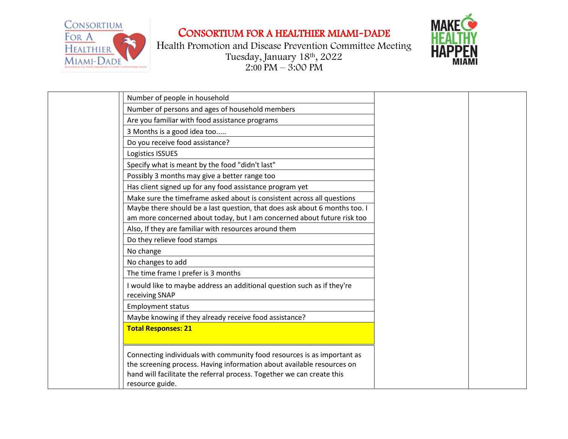



| Number of people in household                                                                                                                                                                                                                  |
|------------------------------------------------------------------------------------------------------------------------------------------------------------------------------------------------------------------------------------------------|
| Number of persons and ages of household members                                                                                                                                                                                                |
| Are you familiar with food assistance programs                                                                                                                                                                                                 |
| 3 Months is a good idea too                                                                                                                                                                                                                    |
| Do you receive food assistance?                                                                                                                                                                                                                |
| Logistics ISSUES                                                                                                                                                                                                                               |
| Specify what is meant by the food "didn't last"                                                                                                                                                                                                |
| Possibly 3 months may give a better range too                                                                                                                                                                                                  |
| Has client signed up for any food assistance program yet                                                                                                                                                                                       |
| Make sure the timeframe asked about is consistent across all questions                                                                                                                                                                         |
| Maybe there should be a last question, that does ask about 6 months too. I                                                                                                                                                                     |
| am more concerned about today, but I am concerned about future risk too                                                                                                                                                                        |
| Also, If they are familiar with resources around them                                                                                                                                                                                          |
| Do they relieve food stamps                                                                                                                                                                                                                    |
| No change                                                                                                                                                                                                                                      |
| No changes to add                                                                                                                                                                                                                              |
| The time frame I prefer is 3 months                                                                                                                                                                                                            |
| I would like to maybe address an additional question such as if they're<br>receiving SNAP                                                                                                                                                      |
| <b>Employment status</b>                                                                                                                                                                                                                       |
| Maybe knowing if they already receive food assistance?                                                                                                                                                                                         |
| <b>Total Responses: 21</b>                                                                                                                                                                                                                     |
| Connecting individuals with community food resources is as important as<br>the screening process. Having information about available resources on<br>hand will facilitate the referral process. Together we can create this<br>resource guide. |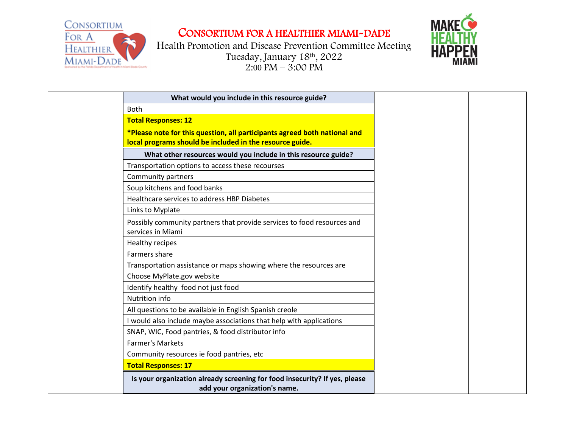



| What would you include in this resource guide?                                                                                        |
|---------------------------------------------------------------------------------------------------------------------------------------|
| <b>Both</b>                                                                                                                           |
| <b>Total Responses: 12</b>                                                                                                            |
| *Please note for this question, all participants agreed both national and<br>local programs should be included in the resource guide. |
| What other resources would you include in this resource guide?                                                                        |
| Transportation options to access these recourses                                                                                      |
| Community partners                                                                                                                    |
| Soup kitchens and food banks                                                                                                          |
| Healthcare services to address HBP Diabetes                                                                                           |
| Links to Myplate                                                                                                                      |
| Possibly community partners that provide services to food resources and<br>services in Miami                                          |
| Healthy recipes                                                                                                                       |
| Farmers share                                                                                                                         |
| Transportation assistance or maps showing where the resources are                                                                     |
| Choose MyPlate.gov website                                                                                                            |
| Identify healthy food not just food                                                                                                   |
| Nutrition info                                                                                                                        |
| All questions to be available in English Spanish creole                                                                               |
| I would also include maybe associations that help with applications                                                                   |
| SNAP, WIC, Food pantries, & food distributor info                                                                                     |
| <b>Farmer's Markets</b>                                                                                                               |
| Community resources ie food pantries, etc                                                                                             |
| <b>Total Responses: 17</b>                                                                                                            |
| Is your organization already screening for food insecurity? If yes, please<br>add your organization's name.                           |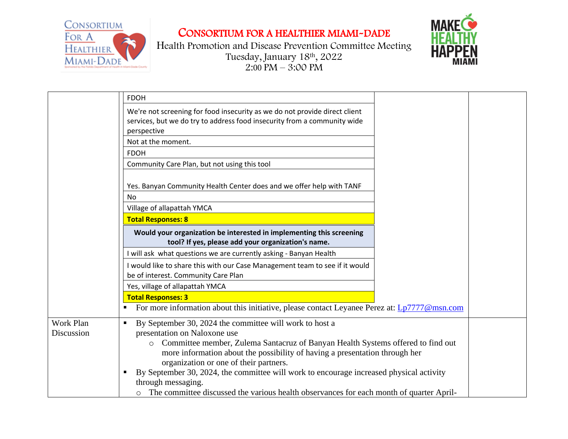



|            | <b>FDOH</b>                                                                                                                                                      |
|------------|------------------------------------------------------------------------------------------------------------------------------------------------------------------|
|            | We're not screening for food insecurity as we do not provide direct client                                                                                       |
|            | services, but we do try to address food insecurity from a community wide                                                                                         |
|            | perspective                                                                                                                                                      |
|            | Not at the moment.                                                                                                                                               |
|            | <b>FDOH</b>                                                                                                                                                      |
|            | Community Care Plan, but not using this tool                                                                                                                     |
|            |                                                                                                                                                                  |
|            | Yes. Banyan Community Health Center does and we offer help with TANF                                                                                             |
|            | No                                                                                                                                                               |
|            | Village of allapattah YMCA                                                                                                                                       |
|            | <b>Total Responses: 8</b>                                                                                                                                        |
|            | Would your organization be interested in implementing this screening<br>tool? If yes, please add your organization's name.                                       |
|            | will ask what questions we are currently asking - Banyan Health                                                                                                  |
|            | would like to share this with our Case Management team to see if it would                                                                                        |
|            | be of interest. Community Care Plan                                                                                                                              |
|            | Yes, village of allapattah YMCA                                                                                                                                  |
|            | <b>Total Responses: 3</b>                                                                                                                                        |
|            | For more information about this initiative, please contact Leyanee Perez at: Lp7777@msn.com                                                                      |
| Work Plan  | By September 30, 2024 the committee will work to host a<br>٠                                                                                                     |
| Discussion | presentation on Naloxone use                                                                                                                                     |
|            | o Committee member, Zulema Santacruz of Banyan Health Systems offered to find out<br>more information about the possibility of having a presentation through her |
|            | organization or one of their partners.                                                                                                                           |
|            | By September 30, 2024, the committee will work to encourage increased physical activity                                                                          |
|            | through messaging.                                                                                                                                               |
|            | The committee discussed the various health observances for each month of quarter April-                                                                          |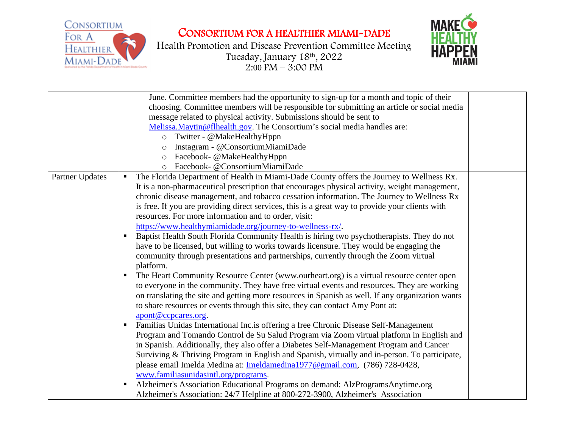



|                 | June. Committee members had the opportunity to sign-up for a month and topic of their            |
|-----------------|--------------------------------------------------------------------------------------------------|
|                 | choosing. Committee members will be responsible for submitting an article or social media        |
|                 | message related to physical activity. Submissions should be sent to                              |
|                 | Melissa. Maytin @ flhealth.gov. The Consortium's social media handles are:                       |
|                 | o Twitter - @MakeHealthyHppn                                                                     |
|                 | Instagram - @ConsortiumMiamiDade<br>$\circ$                                                      |
|                 | o Facebook- @MakeHealthyHppn                                                                     |
|                 | Facebook- @ConsortiumMiamiDade<br>$\circ$                                                        |
| Partner Updates | The Florida Department of Health in Miami-Dade County offers the Journey to Wellness Rx.<br>ш    |
|                 | It is a non-pharmaceutical prescription that encourages physical activity, weight management,    |
|                 | chronic disease management, and tobacco cessation information. The Journey to Wellness Rx        |
|                 | is free. If you are providing direct services, this is a great way to provide your clients with  |
|                 | resources. For more information and to order, visit:                                             |
|                 | https://www.healthymiamidade.org/journey-to-wellness-rx/.                                        |
|                 | Baptist Health South Florida Community Health is hiring two psychotherapists. They do not        |
|                 | have to be licensed, but willing to works towards licensure. They would be engaging the          |
|                 | community through presentations and partnerships, currently through the Zoom virtual             |
|                 | platform.                                                                                        |
|                 | The Heart Community Resource Center (www.ourheart.org) is a virtual resource center open         |
|                 | to everyone in the community. They have free virtual events and resources. They are working      |
|                 | on translating the site and getting more resources in Spanish as well. If any organization wants |
|                 | to share resources or events through this site, they can contact Amy Pont at:                    |
|                 | apont@ccpcares.org.                                                                              |
|                 | Familias Unidas International Inc. is offering a free Chronic Disease Self-Management            |
|                 | Program and Tomando Control de Su Salud Program via Zoom virtual platform in English and         |
|                 | in Spanish. Additionally, they also offer a Diabetes Self-Management Program and Cancer          |
|                 | Surviving & Thriving Program in English and Spanish, virtually and in-person. To participate,    |
|                 | please email Imelda Medina at: Imeldamedina1977@gmail.com, (786) 728-0428,                       |
|                 | www.familiasunidasintl.org/programs.                                                             |
|                 | Alzheimer's Association Educational Programs on demand: AlzProgramsAnytime.org                   |
|                 | Alzheimer's Association: 24/7 Helpline at 800-272-3900, Alzheimer's Association                  |